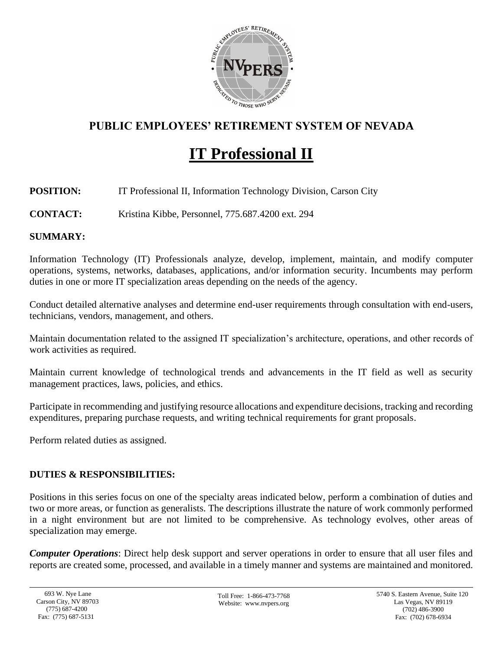

# **PUBLIC EMPLOYEES' RETIREMENT SYSTEM OF NEVADA**

# **IT Professional II**

# **POSITION:** IT Professional II, Information Technology Division, Carson City

**CONTACT:** Kristina Kibbe, Personnel, 775.687.4200 ext. 294

# **SUMMARY:**

Information Technology (IT) Professionals analyze, develop, implement, maintain, and modify computer operations, systems, networks, databases, applications, and/or information security. Incumbents may perform duties in one or more IT specialization areas depending on the needs of the agency.

Conduct detailed alternative analyses and determine end-user requirements through consultation with end-users, technicians, vendors, management, and others.

Maintain documentation related to the assigned IT specialization's architecture, operations, and other records of work activities as required.

Maintain current knowledge of technological trends and advancements in the IT field as well as security management practices, laws, policies, and ethics.

Participate in recommending and justifying resource allocations and expenditure decisions, tracking and recording expenditures, preparing purchase requests, and writing technical requirements for grant proposals.

Perform related duties as assigned.

# **DUTIES & RESPONSIBILITIES:**

Positions in this series focus on one of the specialty areas indicated below, perform a combination of duties and two or more areas, or function as generalists. The descriptions illustrate the nature of work commonly performed in a night environment but are not limited to be comprehensive. As technology evolves, other areas of specialization may emerge.

*Computer Operations*: Direct help desk support and server operations in order to ensure that all user files and reports are created some, processed, and available in a timely manner and systems are maintained and monitored.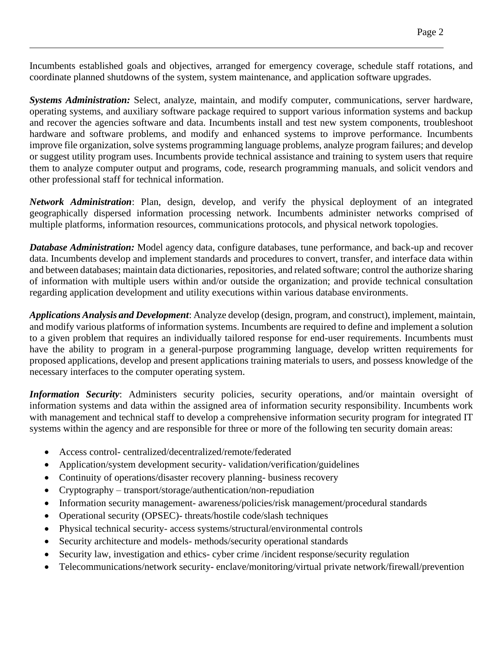Incumbents established goals and objectives, arranged for emergency coverage, schedule staff rotations, and coordinate planned shutdowns of the system, system maintenance, and application software upgrades.

*Systems Administration:* Select, analyze, maintain, and modify computer, communications, server hardware, operating systems, and auxiliary software package required to support various information systems and backup and recover the agencies software and data. Incumbents install and test new system components, troubleshoot hardware and software problems, and modify and enhanced systems to improve performance. Incumbents improve file organization, solve systems programming language problems, analyze program failures; and develop or suggest utility program uses. Incumbents provide technical assistance and training to system users that require them to analyze computer output and programs, code, research programming manuals, and solicit vendors and other professional staff for technical information.

*Network Administration*: Plan, design, develop, and verify the physical deployment of an integrated geographically dispersed information processing network. Incumbents administer networks comprised of multiple platforms, information resources, communications protocols, and physical network topologies.

*Database Administration:* Model agency data, configure databases, tune performance, and back-up and recover data. Incumbents develop and implement standards and procedures to convert, transfer, and interface data within and between databases; maintain data dictionaries, repositories, and related software; control the authorize sharing of information with multiple users within and/or outside the organization; and provide technical consultation regarding application development and utility executions within various database environments.

*Applications Analysis and Development*: Analyze develop (design, program, and construct), implement, maintain, and modify various platforms of information systems. Incumbents are required to define and implement a solution to a given problem that requires an individually tailored response for end-user requirements. Incumbents must have the ability to program in a general-purpose programming language, develop written requirements for proposed applications, develop and present applications training materials to users, and possess knowledge of the necessary interfaces to the computer operating system.

*Information Security*: Administers security policies, security operations, and/or maintain oversight of information systems and data within the assigned area of information security responsibility. Incumbents work with management and technical staff to develop a comprehensive information security program for integrated IT systems within the agency and are responsible for three or more of the following ten security domain areas:

- Access control- centralized/decentralized/remote/federated
- Application/system development security-validation/verification/guidelines
- Continuity of operations/disaster recovery planning- business recovery
- Cryptography transport/storage/authentication/non-repudiation
- Information security management- awareness/policies/risk management/procedural standards
- Operational security (OPSEC)- threats/hostile code/slash techniques
- Physical technical security- access systems/structural/environmental controls
- Security architecture and models- methods/security operational standards
- Security law, investigation and ethics- cyber crime /incident response/security regulation
- Telecommunications/network security- enclave/monitoring/virtual private network/firewall/prevention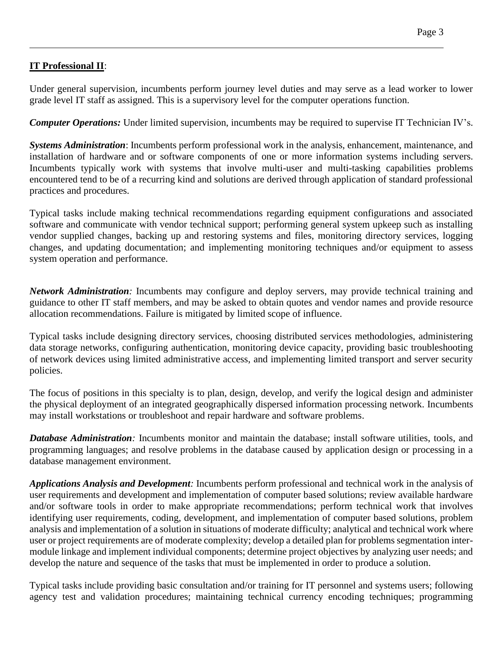# **IT Professional II**:

Under general supervision, incumbents perform journey level duties and may serve as a lead worker to lower grade level IT staff as assigned. This is a supervisory level for the computer operations function.

*Computer Operations:* Under limited supervision, incumbents may be required to supervise IT Technician IV's.

*Systems Administration*: Incumbents perform professional work in the analysis, enhancement, maintenance, and installation of hardware and or software components of one or more information systems including servers. Incumbents typically work with systems that involve multi-user and multi-tasking capabilities problems encountered tend to be of a recurring kind and solutions are derived through application of standard professional practices and procedures.

Typical tasks include making technical recommendations regarding equipment configurations and associated software and communicate with vendor technical support; performing general system upkeep such as installing vendor supplied changes, backing up and restoring systems and files, monitoring directory services, logging changes, and updating documentation; and implementing monitoring techniques and/or equipment to assess system operation and performance.

*Network Administration:* Incumbents may configure and deploy servers, may provide technical training and guidance to other IT staff members, and may be asked to obtain quotes and vendor names and provide resource allocation recommendations. Failure is mitigated by limited scope of influence.

Typical tasks include designing directory services, choosing distributed services methodologies, administering data storage networks, configuring authentication, monitoring device capacity, providing basic troubleshooting of network devices using limited administrative access, and implementing limited transport and server security policies.

The focus of positions in this specialty is to plan, design, develop, and verify the logical design and administer the physical deployment of an integrated geographically dispersed information processing network. Incumbents may install workstations or troubleshoot and repair hardware and software problems.

*Database Administration:* Incumbents monitor and maintain the database; install software utilities, tools, and programming languages; and resolve problems in the database caused by application design or processing in a database management environment.

*Applications Analysis and Development:* Incumbents perform professional and technical work in the analysis of user requirements and development and implementation of computer based solutions; review available hardware and/or software tools in order to make appropriate recommendations; perform technical work that involves identifying user requirements, coding, development, and implementation of computer based solutions, problem analysis and implementation of a solution in situations of moderate difficulty; analytical and technical work where user or project requirements are of moderate complexity; develop a detailed plan for problems segmentation intermodule linkage and implement individual components; determine project objectives by analyzing user needs; and develop the nature and sequence of the tasks that must be implemented in order to produce a solution.

Typical tasks include providing basic consultation and/or training for IT personnel and systems users; following agency test and validation procedures; maintaining technical currency encoding techniques; programming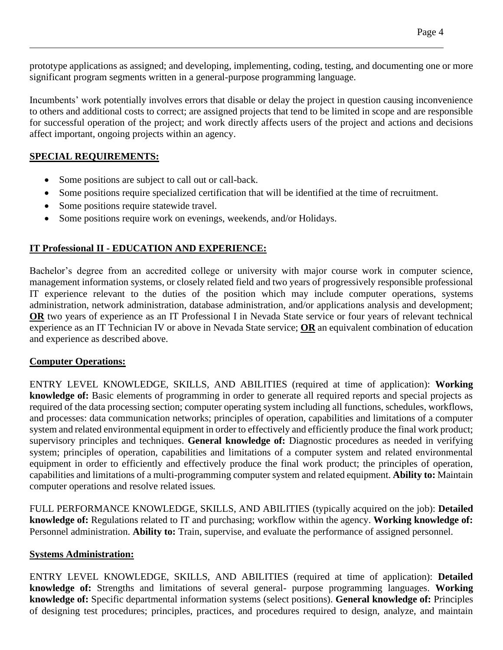prototype applications as assigned; and developing, implementing, coding, testing, and documenting one or more significant program segments written in a general-purpose programming language.

Incumbents' work potentially involves errors that disable or delay the project in question causing inconvenience to others and additional costs to correct; are assigned projects that tend to be limited in scope and are responsible for successful operation of the project; and work directly affects users of the project and actions and decisions affect important, ongoing projects within an agency.

#### **SPECIAL REQUIREMENTS:**

- Some positions are subject to call out or call-back.
- Some positions require specialized certification that will be identified at the time of recruitment.
- Some positions require statewide travel.
- Some positions require work on evenings, weekends, and/or Holidays.

#### **IT Professional II - EDUCATION AND EXPERIENCE:**

Bachelor's degree from an accredited college or university with major course work in computer science, management information systems, or closely related field and two years of progressively responsible professional IT experience relevant to the duties of the position which may include computer operations, systems administration, network administration, database administration, and/or applications analysis and development; **OR** two years of experience as an IT Professional I in Nevada State service or four years of relevant technical experience as an IT Technician IV or above in Nevada State service; **OR** an equivalent combination of education and experience as described above.

#### **Computer Operations:**

ENTRY LEVEL KNOWLEDGE, SKILLS, AND ABILITIES (required at time of application): **Working knowledge of:** Basic elements of programming in order to generate all required reports and special projects as required of the data processing section; computer operating system including all functions, schedules, workflows, and processes: data communication networks; principles of operation, capabilities and limitations of a computer system and related environmental equipment in order to effectively and efficiently produce the final work product; supervisory principles and techniques. **General knowledge of:** Diagnostic procedures as needed in verifying system; principles of operation, capabilities and limitations of a computer system and related environmental equipment in order to efficiently and effectively produce the final work product; the principles of operation, capabilities and limitations of a multi-programming computer system and related equipment. **Ability to:** Maintain computer operations and resolve related issues*.*

FULL PERFORMANCE KNOWLEDGE, SKILLS, AND ABILITIES (typically acquired on the job): **Detailed knowledge of:** Regulations related to IT and purchasing; workflow within the agency. **Working knowledge of:** Personnel administration. **Ability to:** Train, supervise, and evaluate the performance of assigned personnel.

#### **Systems Administration:**

ENTRY LEVEL KNOWLEDGE, SKILLS, AND ABILITIES (required at time of application): **Detailed knowledge of:** Strengths and limitations of several general- purpose programming languages. **Working knowledge of:** Specific departmental information systems (select positions). **General knowledge of:** Principles of designing test procedures; principles, practices, and procedures required to design, analyze, and maintain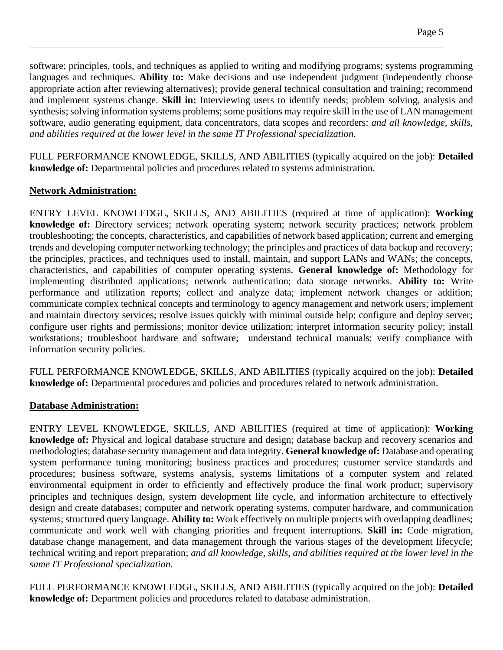software; principles, tools, and techniques as applied to writing and modifying programs; systems programming languages and techniques. **Ability to:** Make decisions and use independent judgment (independently choose appropriate action after reviewing alternatives); provide general technical consultation and training; recommend and implement systems change. **Skill in:** Interviewing users to identify needs; problem solving, analysis and synthesis; solving information systems problems; some positions may require skill in the use of LAN management software, audio generating equipment, data concentrators, data scopes and recorders: *and all knowledge, skills, and abilities required at the lower level in the same IT Professional specialization.*

FULL PERFORMANCE KNOWLEDGE, SKILLS, AND ABILITIES (typically acquired on the job): **Detailed knowledge of:** Departmental policies and procedures related to systems administration.

#### **Network Administration:**

ENTRY LEVEL KNOWLEDGE, SKILLS, AND ABILITIES (required at time of application): **Working knowledge of:** Directory services; network operating system; network security practices; network problem troubleshooting; the concepts, characteristics, and capabilities of network based application; current and emerging trends and developing computer networking technology; the principles and practices of data backup and recovery; the principles, practices, and techniques used to install, maintain, and support LANs and WANs; the concepts, characteristics, and capabilities of computer operating systems. **General knowledge of:** Methodology for implementing distributed applications; network authentication; data storage networks. **Ability to:** Write performance and utilization reports; collect and analyze data; implement network changes or addition; communicate complex technical concepts and terminology to agency management and network users; implement and maintain directory services; resolve issues quickly with minimal outside help; configure and deploy server; configure user rights and permissions; monitor device utilization; interpret information security policy; install workstations; troubleshoot hardware and software; understand technical manuals; verify compliance with information security policies.

FULL PERFORMANCE KNOWLEDGE, SKILLS, AND ABILITIES (typically acquired on the job): **Detailed knowledge of:** Departmental procedures and policies and procedures related to network administration.

#### **Database Administration:**

ENTRY LEVEL KNOWLEDGE, SKILLS, AND ABILITIES (required at time of application): **Working knowledge of:** Physical and logical database structure and design; database backup and recovery scenarios and methodologies; database security management and data integrity. **General knowledge of:** Database and operating system performance tuning monitoring; business practices and procedures; customer service standards and procedures; business software, systems analysis, systems limitations of a computer system and related environmental equipment in order to efficiently and effectively produce the final work product; supervisory principles and techniques design, system development life cycle, and information architecture to effectively design and create databases; computer and network operating systems, computer hardware, and communication systems; structured query language. **Ability to:** Work effectively on multiple projects with overlapping deadlines; communicate and work well with changing priorities and frequent interruptions. **Skill in:** Code migration, database change management, and data management through the various stages of the development lifecycle; technical writing and report preparation; *and all knowledge, skills, and abilities required at the lower level in the same IT Professional specialization.*

FULL PERFORMANCE KNOWLEDGE, SKILLS, AND ABILITIES (typically acquired on the job): **Detailed knowledge of:** Department policies and procedures related to database administration.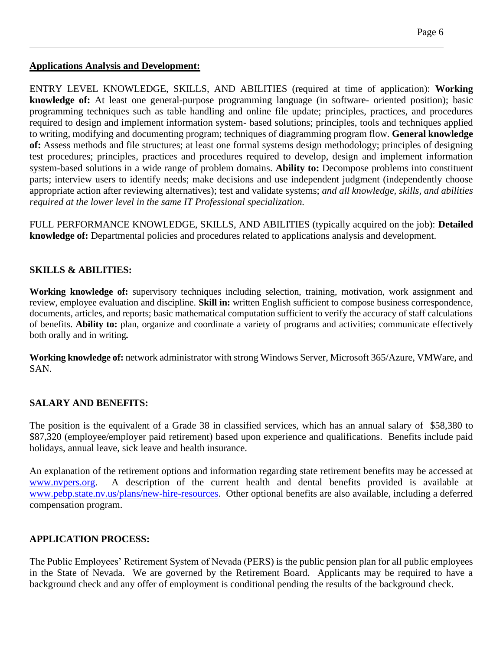#### **Applications Analysis and Development:**

ENTRY LEVEL KNOWLEDGE, SKILLS, AND ABILITIES (required at time of application): **Working knowledge of:** At least one general-purpose programming language (in software- oriented position); basic programming techniques such as table handling and online file update; principles, practices, and procedures required to design and implement information system- based solutions; principles, tools and techniques applied to writing, modifying and documenting program; techniques of diagramming program flow. **General knowledge of:** Assess methods and file structures; at least one formal systems design methodology; principles of designing test procedures; principles, practices and procedures required to develop, design and implement information system-based solutions in a wide range of problem domains. **Ability to:** Decompose problems into constituent parts; interview users to identify needs; make decisions and use independent judgment (independently choose appropriate action after reviewing alternatives); test and validate systems; *and all knowledge, skills, and abilities required at the lower level in the same IT Professional specialization.*

FULL PERFORMANCE KNOWLEDGE, SKILLS, AND ABILITIES (typically acquired on the job): **Detailed knowledge of:** Departmental policies and procedures related to applications analysis and development.

#### **SKILLS & ABILITIES:**

**Working knowledge of:** supervisory techniques including selection, training, motivation, work assignment and review, employee evaluation and discipline. **Skill in:** written English sufficient to compose business correspondence, documents, articles, and reports; basic mathematical computation sufficient to verify the accuracy of staff calculations of benefits. **Ability to:** plan, organize and coordinate a variety of programs and activities; communicate effectively both orally and in writing*.*

**Working knowledge of:** network administrator with strong Windows Server, Microsoft 365/Azure, VMWare, and SAN.

#### **SALARY AND BENEFITS:**

The position is the equivalent of a Grade 38 in classified services, which has an annual salary of \$58,380 to \$87,320 (employee/employer paid retirement) based upon experience and qualifications. Benefits include paid holidays, annual leave, sick leave and health insurance.

An explanation of the retirement options and information regarding state retirement benefits may be accessed at [www.nvpers.org.](http://www.nvpers.org/) A description of the current health and dental benefits provided is available at [www.pebp.state.nv.us/plans/new-hire-resources.](http://www.pebp.state.nv.us/plans/new-hire-resources) Other optional benefits are also available, including a deferred compensation program.

# **APPLICATION PROCESS:**

The Public Employees' Retirement System of Nevada (PERS) is the public pension plan for all public employees in the State of Nevada. We are governed by the Retirement Board. Applicants may be required to have a background check and any offer of employment is conditional pending the results of the background check.